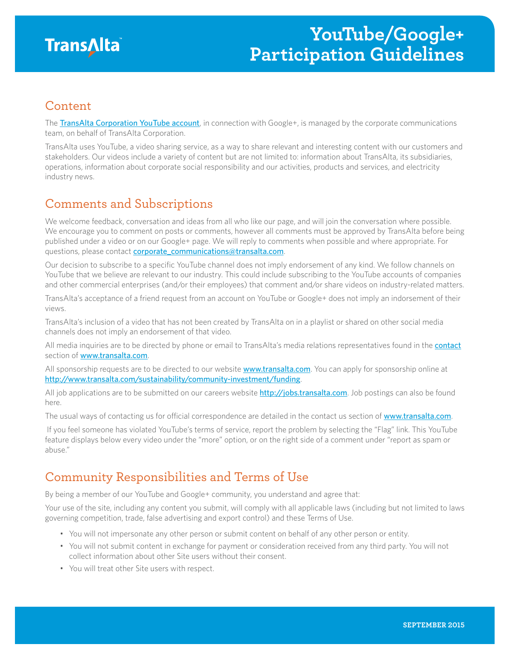

#### Content

The [TransAlta Corporation YouTube account](https://www.youtube.com/c/TransAltaCorporation), in connection with Google+, is managed by the corporate communications team, on behalf of TransAlta Corporation.

TransAlta uses YouTube, a video sharing service, as a way to share relevant and interesting content with our customers and stakeholders. Our videos include a variety of content but are not limited to: information about TransAlta, its subsidiaries, operations, information about corporate social responsibility and our activities, products and services, and electricity industry news.

## Comments and Subscriptions

We welcome feedback, conversation and ideas from all who like our page, and will join the conversation where possible. We encourage you to comment on posts or comments, however all comments must be approved by TransAlta before being published under a video or on our Google+ page. We will reply to comments when possible and where appropriate. For questions, please contact [corporate\\_communications@transalta.com](mailto:corporate_communications%40transalta.com?subject=).

Our decision to subscribe to a specific YouTube channel does not imply endorsement of any kind. We follow channels on YouTube that we believe are relevant to our industry. This could include subscribing to the YouTube accounts of companies and other commercial enterprises (and/or their employees) that comment and/or share videos on industry-related matters.

TransAlta's acceptance of a friend request from an account on YouTube or Google+ does not imply an indorsement of their views.

TransAlta's inclusion of a video that has not been created by TransAlta on in a playlist or shared on other social media channels does not imply an endorsement of that video.

All media inquiries are to be directed by phone or email to TransAlta's media relations representatives found in the [contact](http://www.transalta.com/contact#headoffice) section of [www.transalta.com](http://www.transalta.com).

All sponsorship requests are to be directed to our website [www.transalta.com](http://www.transalta.com). You can apply for sponsorship online at <http://www.transalta.com/sustainability/community-investment/funding>.

All job applications are to be submitted on our careers website <http://jobs.transalta.com>. Job postings can also be found here.

The usual ways of contacting us for official correspondence are detailed in the contact us section of [www.transalta.com](http://www.transalta.com).

 If you feel someone has violated YouTube's terms of service, report the problem by selecting the "Flag" link. This YouTube feature displays below every video under the "more" option, or on the right side of a comment under "report as spam or abuse."

# Community Responsibilities and Terms of Use

By being a member of our YouTube and Google+ community, you understand and agree that:

Your use of the site, including any content you submit, will comply with all applicable laws (including but not limited to laws governing competition, trade, false advertising and export control) and these Terms of Use.

- You will not impersonate any other person or submit content on behalf of any other person or entity.
- You will not submit content in exchange for payment or consideration received from any third party. You will not collect information about other Site users without their consent.
- You will treat other Site users with respect.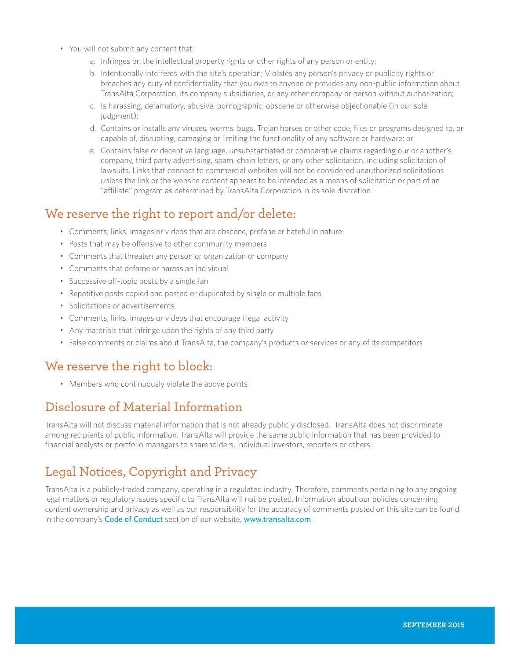- You will not submit any content that:
	- a. Infringes on the intellectual property rights or other rights of any person or entity;
	- b. Intentionally interferes with the site's operation; Violates any person's privacy or publicity rights or breaches any duty of confidentiality that you owe to anyone or provides any non-public information about TransAlta Corporation, its company subsidiaries, or any other company or person without authorization;
	- c. Is harassing, defamatory, abusive, pornographic, obscene or otherwise objectionable (in our sole judgment);
	- d. Contains or installs any viruses, worms, bugs, Trojan horses or other code, files or programs designed to, or capable of, disrupting, damaging or limiting the functionality of any software or hardware; or
	- e. Contains false or deceptive language, unsubstantiated or comparative claims regarding our or another's company, third party advertising, spam, chain letters, or any other solicitation, including solicitation of lawsuits. Links that connect to commercial websites will not be considered unauthorized solicitations unless the link or the website content appears to be intended as a means of solicitation or part of an "affiliate" program as determined by TransAlta Corporation in its sole discretion.

#### We reserve the right to report and/or delete:

- Comments, links, images or videos that are obscene, profane or hateful in nature
- Posts that may be offensive to other community members
- Comments that threaten any person or organization or company
- Comments that defame or harass an individual
- Successive off-topic posts by a single fan
- Repetitive posts copied and pasted or duplicated by single or multiple fans
- Solicitations or advertisements
- Comments, links, images or videos that encourage illegal activity
- Any materials that infringe upon the rights of any third party
- False comments or claims about TransAlta, the company's products or services or any of its competitors

### We reserve the right to block:

• Members who continuously violate the above points

### Disclosure of Material Information

TransAlta will not discuss material information that is not already publicly disclosed. TransAlta does not discriminate among recipients of public information. TransAlta will provide the same public information that has been provided to financial analysts or portfolio managers to shareholders, individual investors, reporters or others.

## Legal Notices, Copyright and Privacy

TransAlta is a publicly-traded company, operating in a regulated industry. Therefore, comments pertaining to any ongoing legal matters or regulatory issues specific to TransAlta will not be posted. Information about our policies concerning content ownership and privacy as well as our responsibility for the accuracy of comments posted on this site can be found in the company's [Code of Conduct](http://www.transalta.com/about-us/governance/corporate-code-conduct) section of our website, [www.transalta.com](http://www.transalta.com).